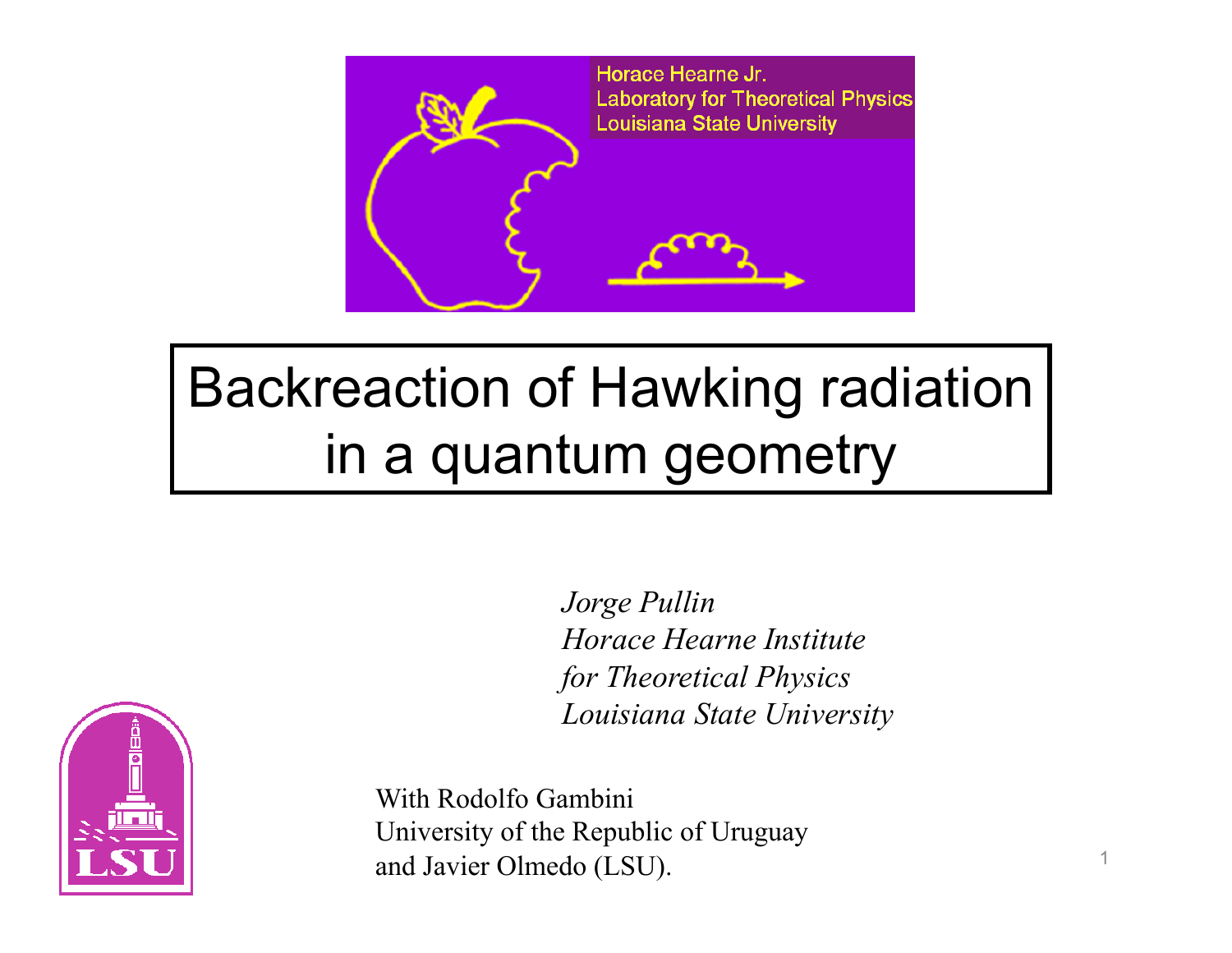

## Backreaction of Hawking radiation in a quantum geometry

*Jorge Pullin Horace Hearne Institute for Theoretical Physics Louisiana State University*



With Rodolfo Gambini University of the Republic of Uruguay and Javier Olmedo (LSU).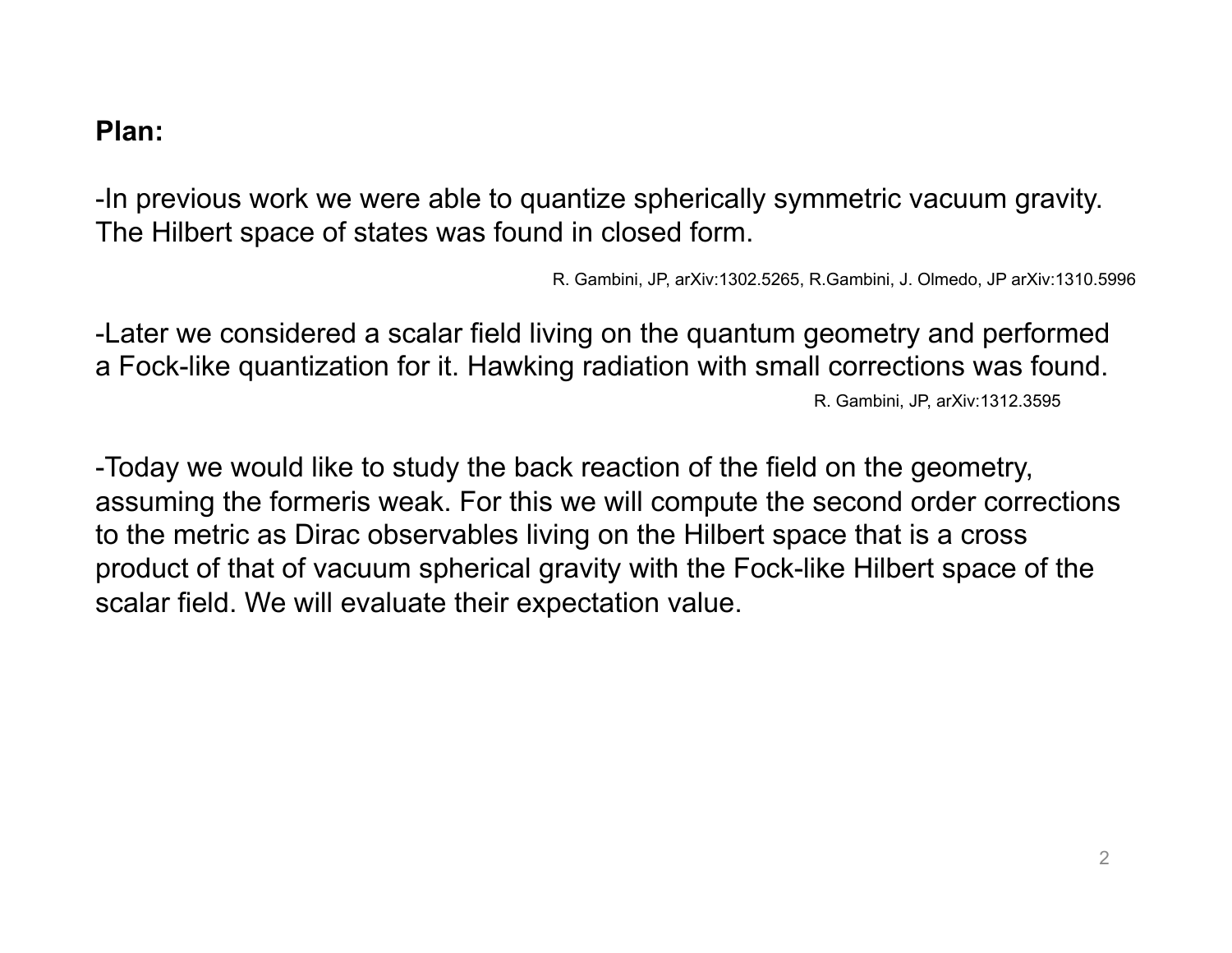#### **Plan:**

-In previous work we were able to quantize spherically symmetric vacuum gravity. The Hilbert space of states was found in closed form.

R. Gambini, JP, arXiv:1302.5265, R.Gambini, J. Olmedo, JP arXiv:1310.5996

-Later we considered a scalar field living on the quantum geometry and performed a Fock-like quantization for it. Hawking radiation with small corrections was found. R. Gambini, JP, arXiv:1312.3595

-Today we would like to study the back reaction of the field on the geometry, assuming the formeris weak. For this we will compute the second order corrections to the metric as Dirac observables living on the Hilbert space that is a cross product of that of vacuum spherical gravity with the Fock-like Hilbert space of the scalar field. We will evaluate their expectation value.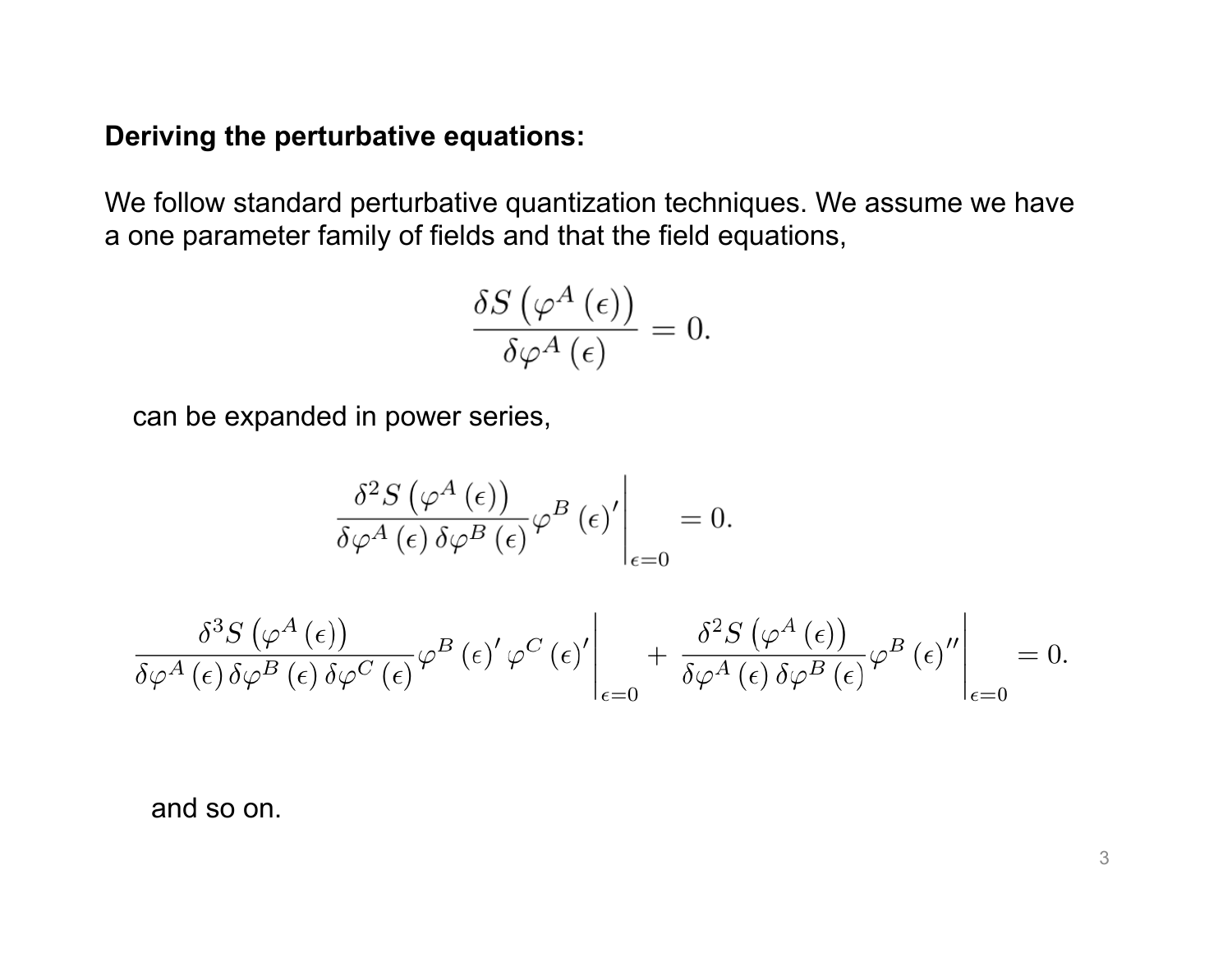### **Deriving the perturbative equations:**

We follow standard perturbative quantization techniques. We assume we have a one parameter family of fields and that the field equations,

$$
\frac{\delta S\left(\varphi^A\left(\epsilon\right)\right)}{\delta\varphi^A\left(\epsilon\right)}=0.
$$

can be expanded in power series,

$$
\left. \frac{\delta^2 S\left(\varphi^A\left(\epsilon\right)\right)}{\delta \varphi^A\left(\epsilon\right) \delta \varphi^B\left(\epsilon\right)} \varphi^B\left(\epsilon\right)' \right|_{\epsilon=0} = 0.
$$

$$
\left. \frac{\delta^3 S\left(\varphi^A\left(\epsilon\right)\right)}{\delta \varphi^A\left(\epsilon\right) \delta \varphi^B\left(\epsilon\right)} \varphi^B\left(\epsilon\right)' \varphi^C\left(\epsilon\right)' \right|_{\epsilon=0} + \left. \frac{\delta^2 S\left(\varphi^A\left(\epsilon\right)\right)}{\delta \varphi^A\left(\epsilon\right) \delta \varphi^B\left(\epsilon\right)} \varphi^B\left(\epsilon\right)'' \right|_{\epsilon=0} = 0.
$$

and so on.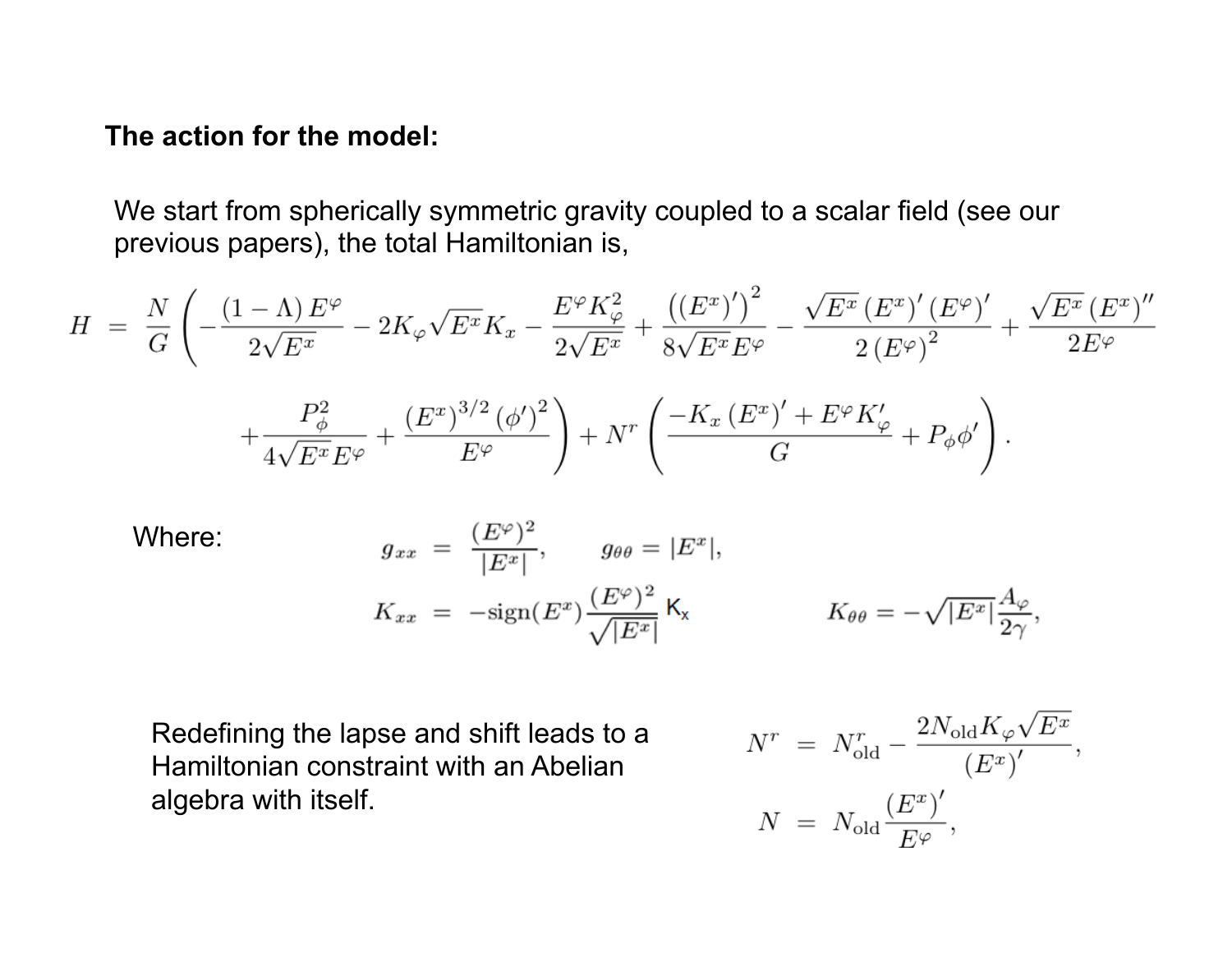#### **The action for the model:**

We start from spherically symmetric gravity coupled to a scalar field (see our previous papers), the total Hamiltonian is,

$$
H = \frac{N}{G} \left( -\frac{(1-\Lambda)E^{\varphi}}{2\sqrt{E^{x}}} - 2K_{\varphi}\sqrt{E^{x}}K_{x} - \frac{E^{\varphi}K_{\varphi}^{2}}{2\sqrt{E^{x}}} + \frac{((E^{x})')^{2}}{8\sqrt{E^{x}}E^{\varphi}} - \frac{\sqrt{E^{x}}\left(E^{x}\right)'\left(E^{\varphi}\right)'}{2\left(E^{\varphi}\right)^{2}} + \frac{\sqrt{E^{x}}\left(E^{x}\right)''}{2E^{\varphi}} + \frac{P_{\phi}^{2}}{4\sqrt{E^{x}}E^{\varphi}} + \frac{\left(E^{x}\right)^{3/2}\left(\phi'\right)^{2}}{E^{\varphi}} \right) + N^{r} \left( \frac{-K_{x}\left(E^{x}\right)' + E^{\varphi}K_{\varphi}'}{G} + P_{\phi}\phi' \right).
$$

Where:  
\n
$$
g_{xx} = \frac{(E^{\varphi})^2}{|E^x|}, \qquad g_{\theta\theta} = |E^x|,
$$
\n
$$
K_{xx} = -\text{sign}(E^x) \frac{(E^{\varphi})^2}{\sqrt{|E^x|}} \mathsf{K}_x \qquad K_{\theta\theta} = -\sqrt{|E^x|} \frac{A_{\varphi}}{2\gamma},
$$

Redefining the lapse and shift leads to a Hamiltonian constraint with an Abelian algebra with itself.

$$
N^{r} = N_{\text{old}}^{r} - \frac{2N_{\text{old}}K_{\varphi}\sqrt{E^{x}}}{(E^{x})'},
$$

$$
N = N_{\text{old}}\frac{(E^{x})'}{E^{\varphi}},
$$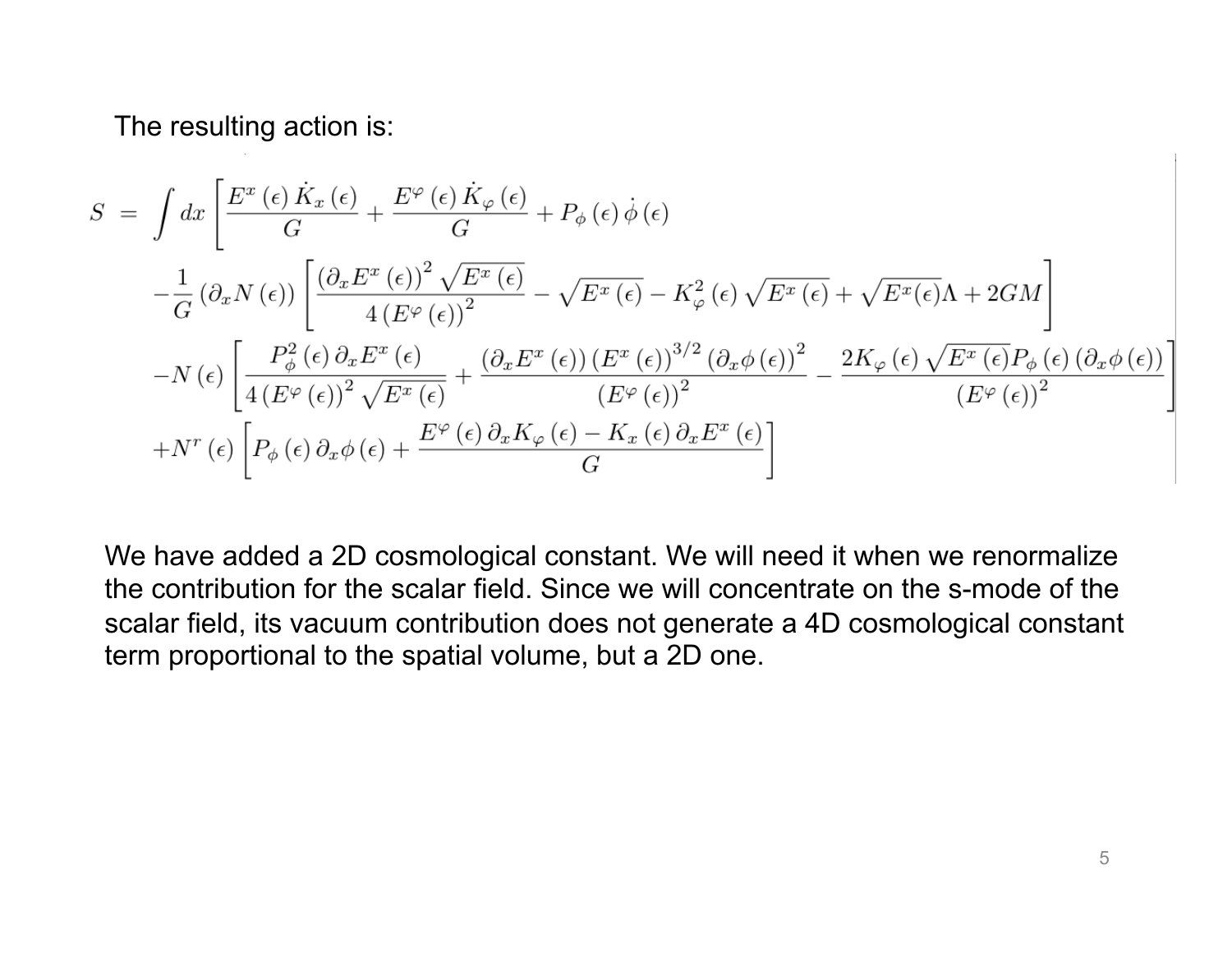The resulting action is:

$$
S = \int dx \left[ \frac{E^x(\epsilon) \dot{K}_x(\epsilon)}{G} + \frac{E^\varphi(\epsilon) \dot{K}_\varphi(\epsilon)}{G} + P_\phi(\epsilon) \dot{\phi}(\epsilon) \right]
$$
  

$$
- \frac{1}{G} (\partial_x N(\epsilon)) \left[ \frac{(\partial_x E^x(\epsilon))^2 \sqrt{E^x(\epsilon)}}{4 (E^\varphi(\epsilon))^2} - \sqrt{E^x(\epsilon)} - K_\varphi^2(\epsilon) \sqrt{E^x(\epsilon)} + \sqrt{E^x(\epsilon)} \Lambda + 2GM \right]
$$
  

$$
- N(\epsilon) \left[ \frac{P_\phi^2(\epsilon) \partial_x E^x(\epsilon)}{4 (E^\varphi(\epsilon))^2 \sqrt{E^x(\epsilon)}} + \frac{(\partial_x E^x(\epsilon)) (E^x(\epsilon))^3}{(E^\varphi(\epsilon))^2} \left( \frac{\partial_x \phi(\epsilon)}{G} \right)^2 - \frac{2K_\varphi(\epsilon) \sqrt{E^x(\epsilon)} P_\phi(\epsilon) (\partial_x \phi(\epsilon))}{(E^\varphi(\epsilon))^2} \right]
$$
  

$$
+ N^r(\epsilon) \left[ P_\phi(\epsilon) \partial_x \phi(\epsilon) + \frac{E^\varphi(\epsilon) \partial_x K_\varphi(\epsilon) - K_x(\epsilon) \partial_x E^x(\epsilon)}{G} \right]
$$

We have added a 2D cosmological constant. We will need it when we renormalize the contribution for the scalar field. Since we will concentrate on the s-mode of the scalar field, its vacuum contribution does not generate a 4D cosmological constant term proportional to the spatial volume, but a 2D one.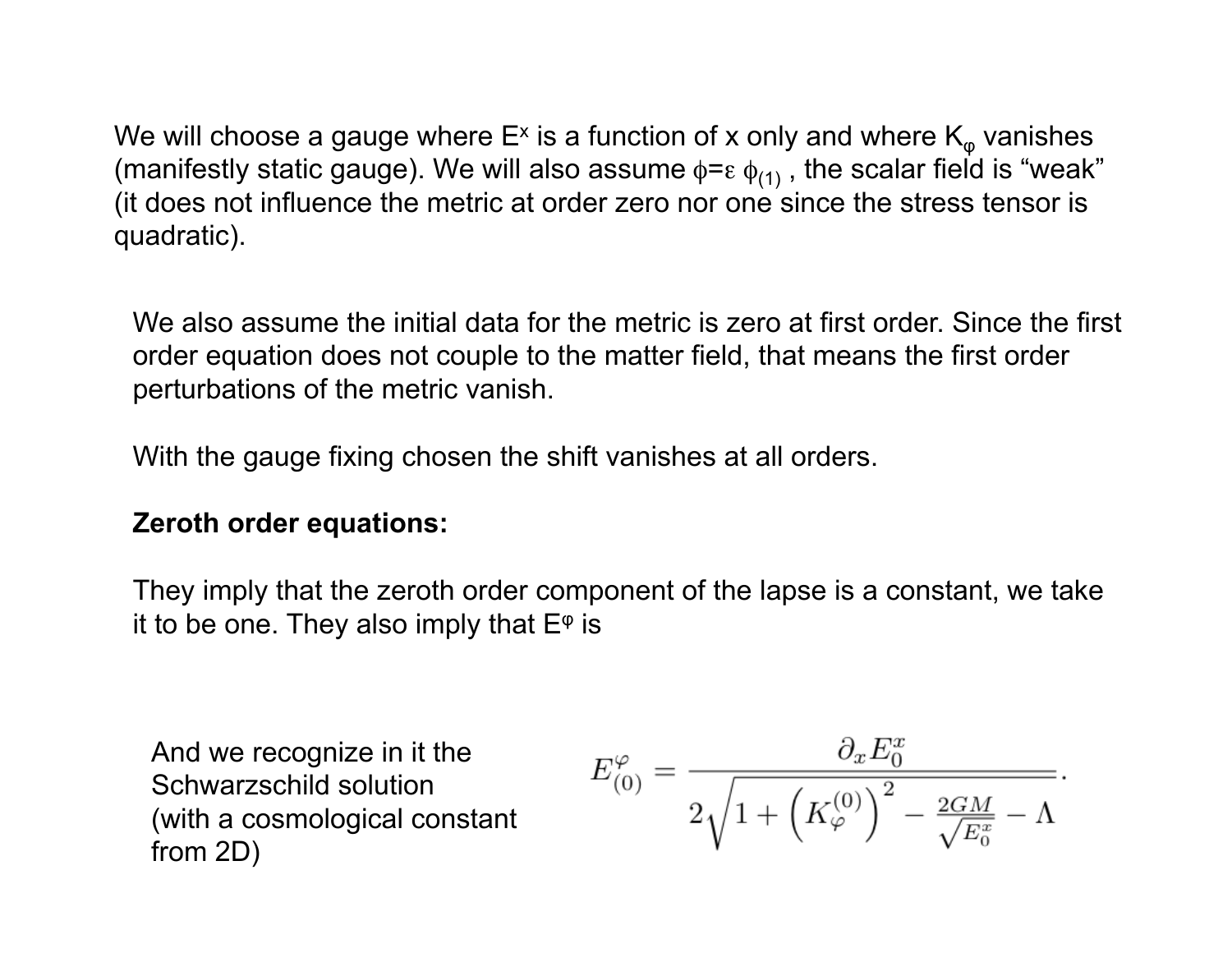We will choose a gauge where  $E^x$  is a function of x only and where  $K_{\varphi}$  vanishes (manifestly static gauge). We will also assume  $\phi = \varepsilon \phi_{(1)}$ , the scalar field is "weak" (it does not influence the metric at order zero nor one since the stress tensor is quadratic).

We also assume the initial data for the metric is zero at first order. Since the first order equation does not couple to the matter field, that means the first order perturbations of the metric vanish.

With the gauge fixing chosen the shift vanishes at all orders.

#### **Zeroth order equations:**

They imply that the zeroth order component of the lapse is a constant, we take it to be one. They also imply that  $E^{\varphi}$  is

And we recognize in it the Schwarzschild solution (with a cosmological constant from 2D)

$$
E_{(0)}^{\varphi} = \frac{\partial_x E_0^x}{2\sqrt{1 + \left(K_{\varphi}^{(0)}\right)^2 - \frac{2GM}{\sqrt{E_0^x}} - \Lambda}}.
$$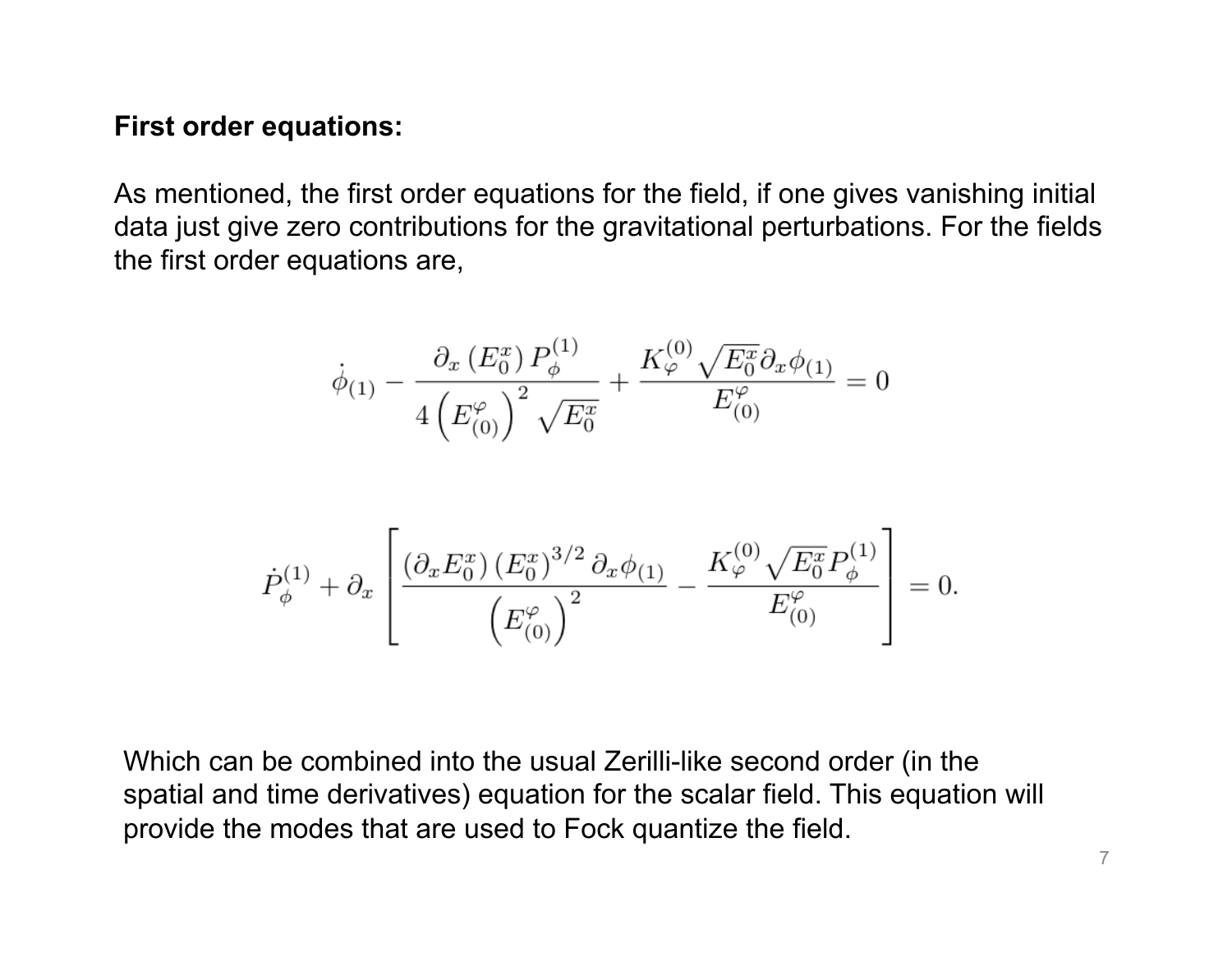#### **First order equations:**

As mentioned, the first order equations for the field, if one gives vanishing initial data just give zero contributions for the gravitational perturbations. For the fields the first order equations are,

$$
\dot{\phi}_{(1)} - \frac{\partial_x (E_0^x) P_{\phi}^{(1)}}{4 \left( E_{(0)}^{\varphi} \right)^2 \sqrt{E_0^x}} + \frac{K_{\varphi}^{(0)} \sqrt{E_0^x} \partial_x \phi_{(1)}}{E_{(0)}^{\varphi}} = 0
$$

$$
\dot{P}_{\phi}^{(1)} + \partial_x \left[ \frac{\left(\partial_x E_0^x\right) \left(E_0^x\right)^{3/2} \partial_x \phi_{(1)}}{\left(E_{(0)}^{\varphi}\right)^2} - \frac{K_{\varphi}^{(0)} \sqrt{E_0^x} P_{\phi}^{(1)}}{E_{(0)}^{\varphi}} \right] = 0.
$$

Which can be combined into the usual Zerilli-like second order (in the spatial and time derivatives) equation for the scalar field. This equation will provide the modes that are used to Fock quantize the field.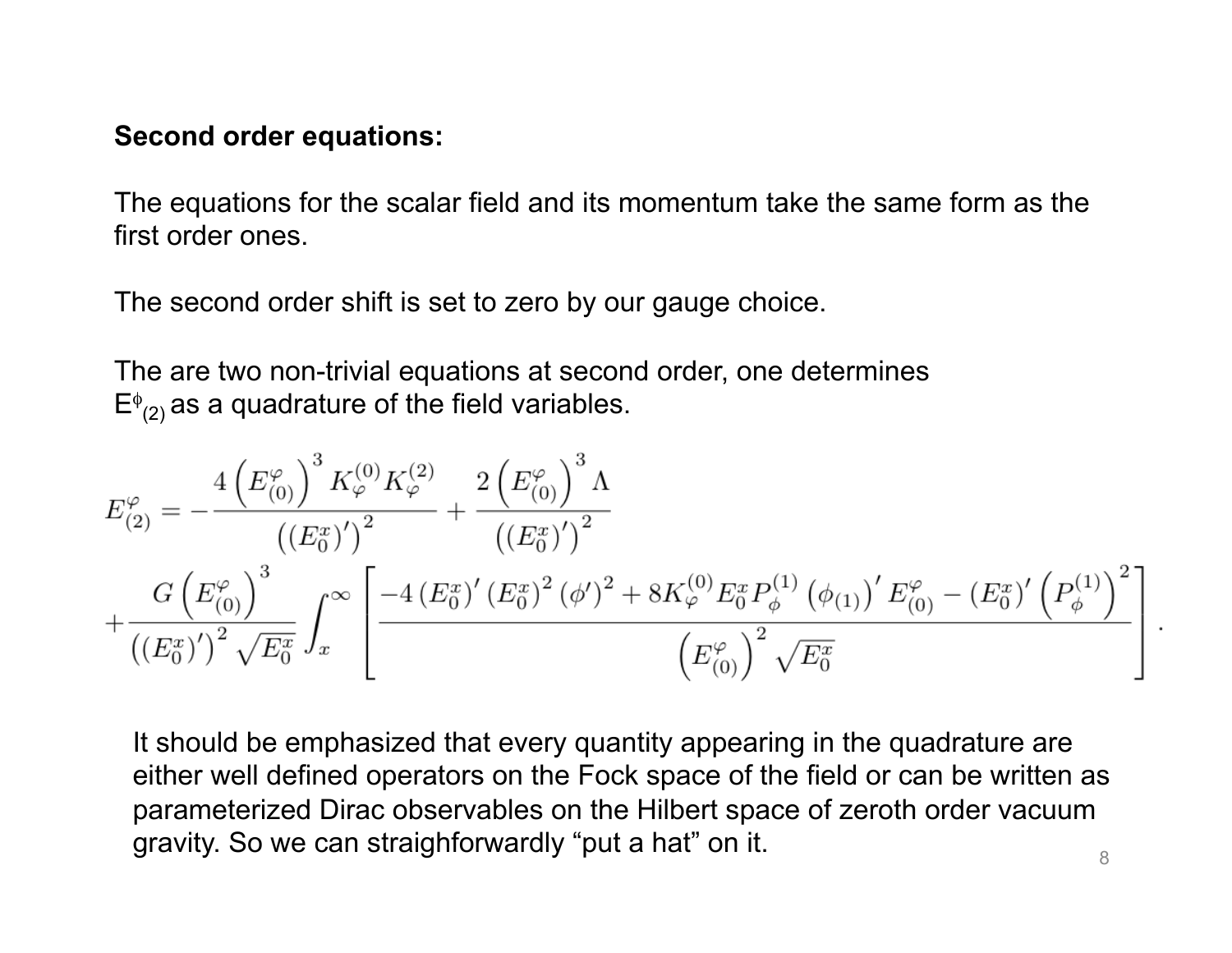#### **Second order equations:**

The equations for the scalar field and its momentum take the same form as the first order ones.

The second order shift is set to zero by our gauge choice.

The are two non-trivial equations at second order, one determines  $E^{\phi}_{(2)}$  as a quadrature of the field variables.

$$
E_{(2)}^{\varphi} = -\frac{4\left(E_{(0)}^{\varphi}\right)^3 K_{\varphi}^{(0)} K_{\varphi}^{(2)}}{\left((E_0^x)'\right)^2} + \frac{2\left(E_{(0)}^{\varphi}\right)^3 \Lambda}{\left((E_0^x)'\right)^2} + \frac{G\left(E_{(0)}^{\varphi}\right)^3}{\left((E_0^x)'\right)^2 \sqrt{E_0^x}} \int_x^{\infty} \left[\frac{-4\left(E_0^x\right)' \left(E_0^x\right)^2 \left(\phi'\right)^2 + 8K_{\varphi}^{(0)} E_0^x P_{\phi}^{(1)} \left(\phi_{(1)}\right)' E_{(0)}^{\varphi} - \left(E_0^x\right)' \left(P_{\phi}^{(1)}\right)^2}{\left(E_{(0)}^{\varphi}\right)^2 \sqrt{E_0^x}} \right]
$$

It should be emphasized that every quantity appearing in the quadrature are either well defined operators on the Fock space of the field or can be written as parameterized Dirac observables on the Hilbert space of zeroth order vacuum gravity. So we can straighforwardly "put a hat" on it.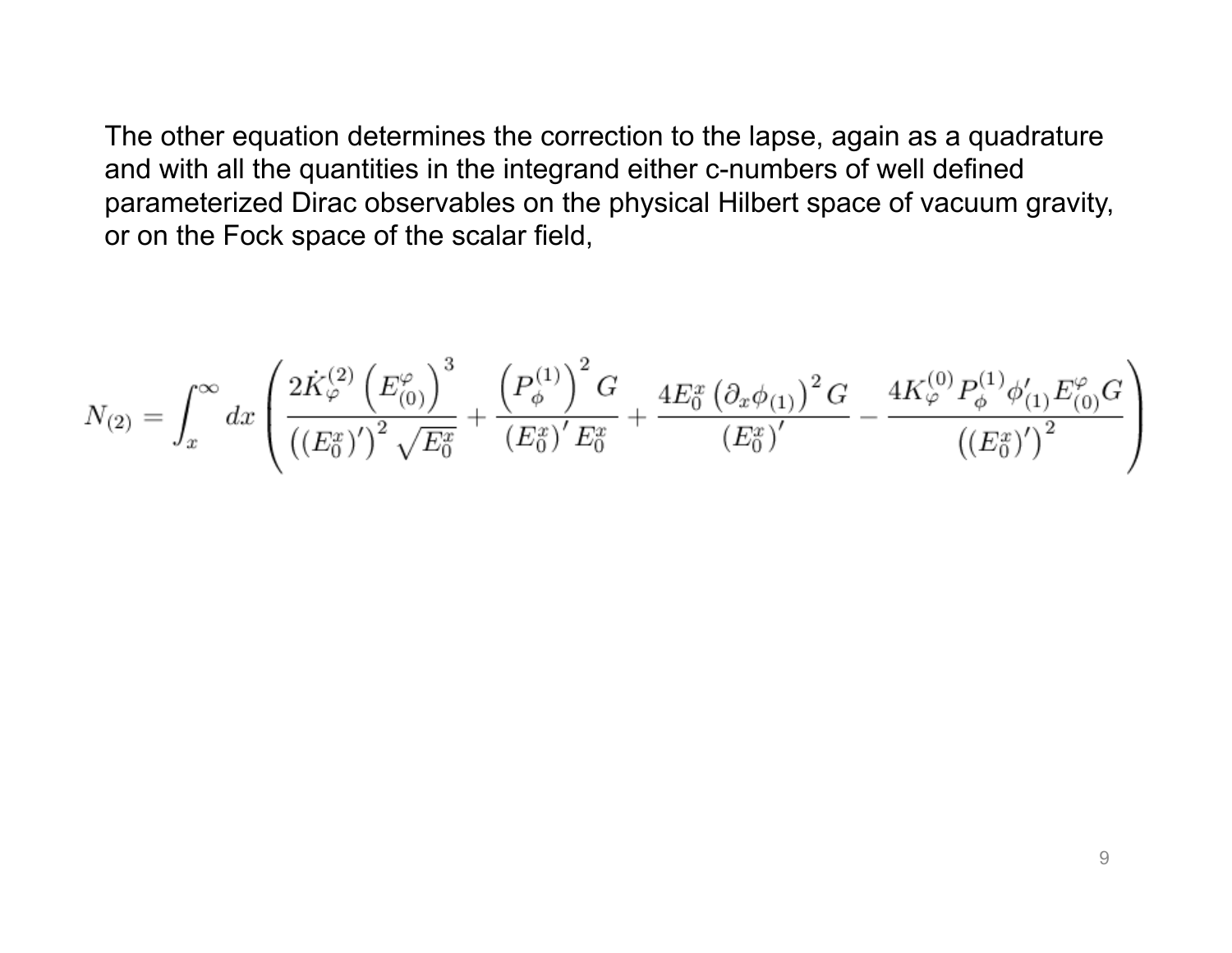The other equation determines the correction to the lapse, again as a quadrature and with all the quantities in the integrand either c-numbers of well defined parameterized Dirac observables on the physical Hilbert space of vacuum gravity, or on the Fock space of the scalar field,

$$
N_{(2)} = \int_{x}^{\infty} dx \left( \frac{2 \dot{K}_{\varphi}^{(2)} \left( E_{(0)}^{\varphi} \right)^{3}}{\left( \left( E_{0}^{x} \right)^{\prime} \right)^{2} \sqrt{E_{0}^{x}}} + \frac{\left( P_{\phi}^{(1)} \right)^{2} G}{\left( E_{0}^{x} \right)^{\prime} E_{0}^{x}} + \frac{4 E_{0}^{x} \left( \partial_{x} \phi_{(1)} \right)^{2} G}{\left( E_{0}^{x} \right)^{\prime}} - \frac{4 K_{\varphi}^{(0)} P_{\phi}^{(1)} \phi_{(1)}^{\prime} E_{(0)}^{\varphi} G}{\left( \left( E_{0}^{x} \right)^{\prime} \right)^{2}} \right)
$$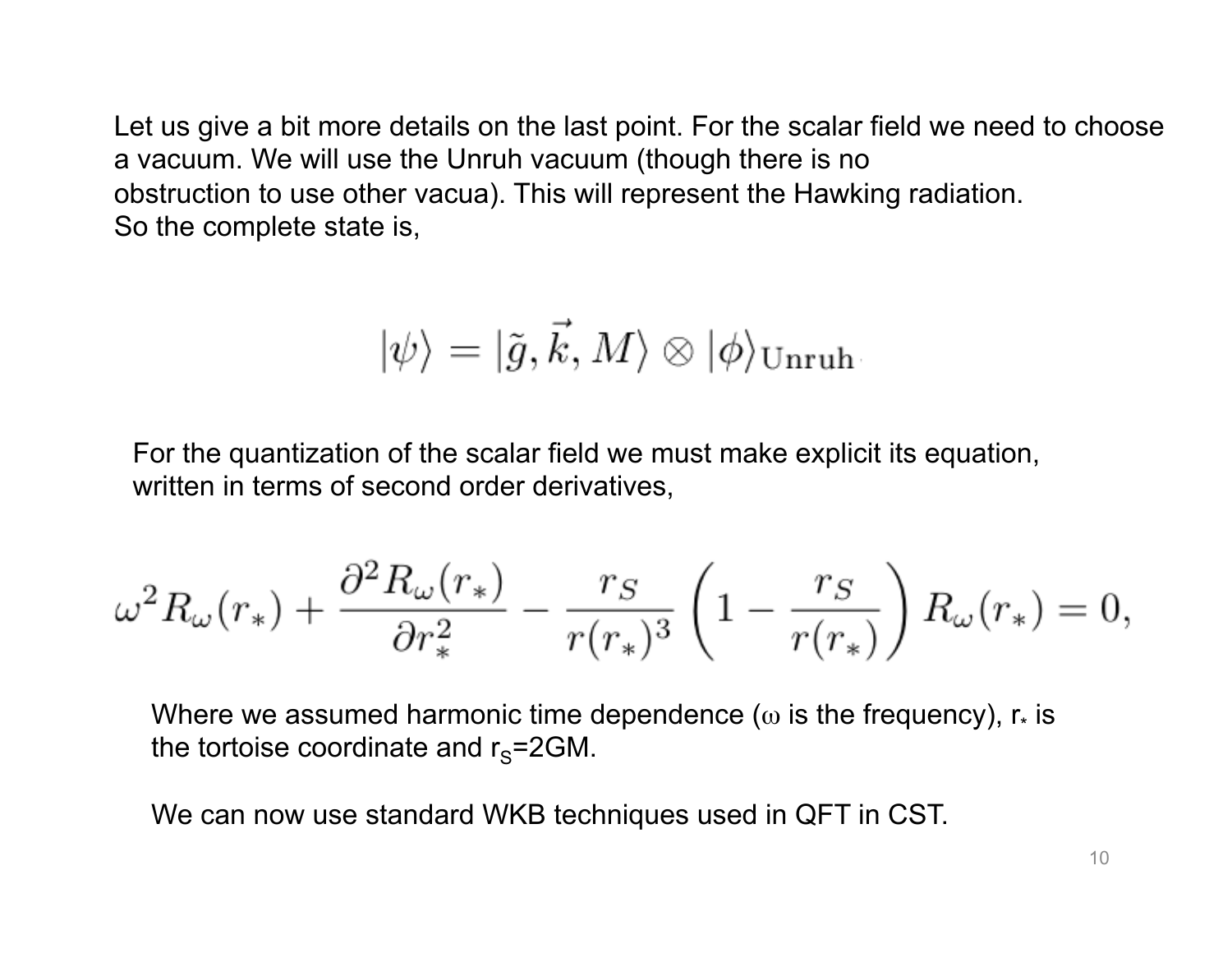Let us give a bit more details on the last point. For the scalar field we need to choose a vacuum. We will use the Unruh vacuum (though there is no obstruction to use other vacua). This will represent the Hawking radiation. So the complete state is,

$$
|\psi\rangle=|\tilde{g},\vec{k},M\rangle\otimes|\phi\rangle_{\rm Unruh}.
$$

For the quantization of the scalar field we must make explicit its equation, written in terms of second order derivatives,

$$
\omega^2 R_\omega(r_*) + \frac{\partial^2 R_\omega(r_*)}{\partial r_*^2} - \frac{r_S}{r(r_*)^3} \left(1 - \frac{r_S}{r(r_*)}\right) R_\omega(r_*) = 0,
$$

Where we assumed harmonic time dependence ( $\omega$  is the frequency),  $r_{*}$  is the tortoise coordinate and  $r_s = 2GM$ .

We can now use standard WKB techniques used in QFT in CST.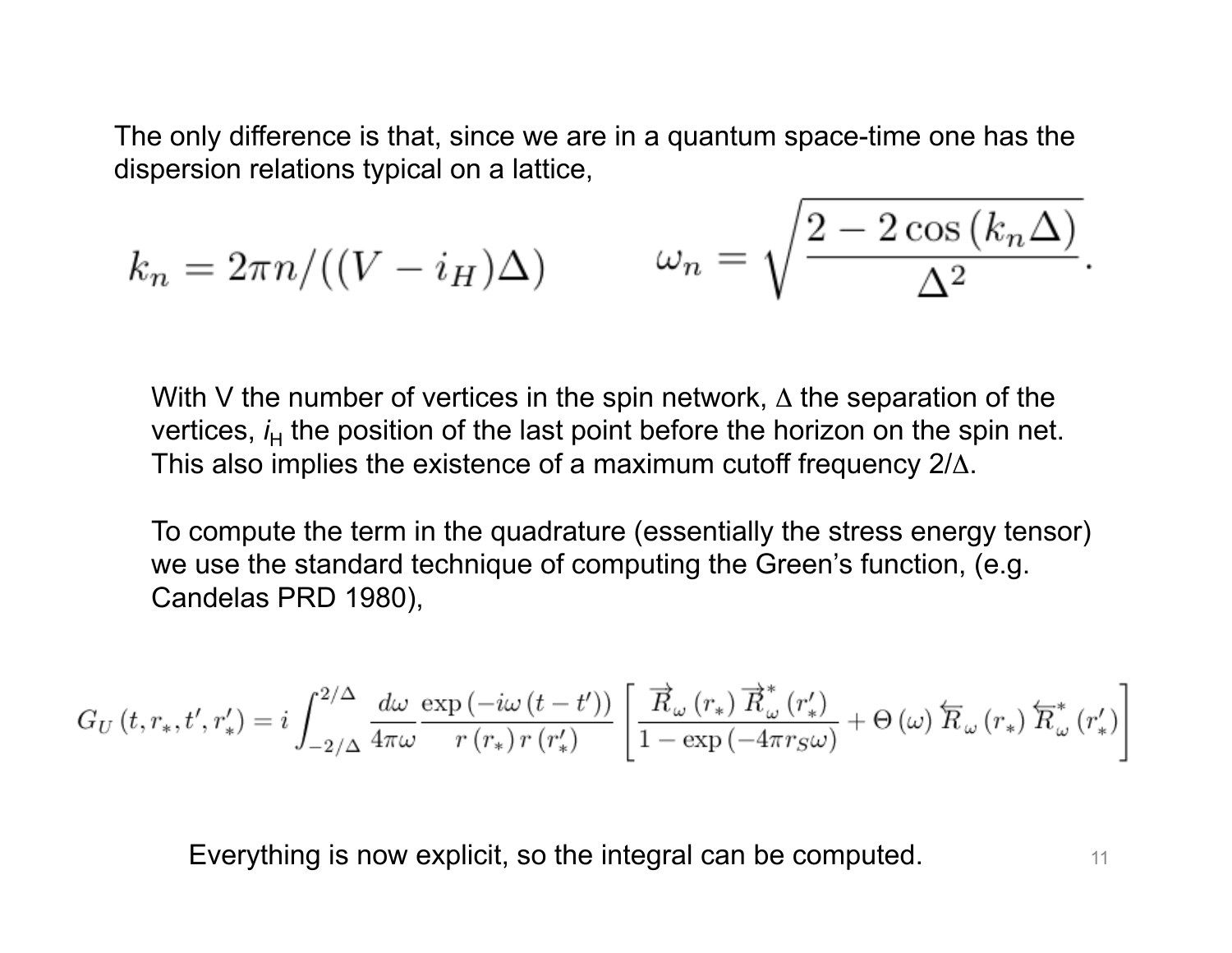The only difference is that, since we are in a quantum space-time one has the dispersion relations typical on a lattice,

$$
k_n = 2\pi n / ((V - i_H)\Delta) \qquad \omega_n = \sqrt{\frac{2 - 2\cos((k_n \Delta))}{\Delta^2}}.
$$

With V the number of vertices in the spin network,  $\Delta$  the separation of the vertices, *i*<sub>H</sub> the position of the last point before the horizon on the spin net. This also implies the existence of a maximum cutoff frequency 2/Δ.

To compute the term in the quadrature (essentially the stress energy tensor) we use the standard technique of computing the Green's function, (e.g. Candelas PRD 1980),

$$
G_U\left(t, r_*, t', r_*'\right) = i \int_{-2/\Delta}^{2/\Delta} \frac{d\omega}{4\pi\omega} \frac{\exp\left(-i\omega\left(t - t'\right)\right)}{r\left(r_*\right)r\left(r_*'\right)} \left[ \frac{\overrightarrow{R}_\omega\left(r_*\right)\overrightarrow{R}_\omega^*\left(r_*'\right)}{1 - \exp\left(-4\pi r_S\omega\right)} + \Theta\left(\omega\right)\overleftarrow{R}_\omega\left(r_*\right)\overleftarrow{R}_\omega^*\left(r_*'\right) \right] \right]
$$

Everything is now explicit, so the integral can be computed.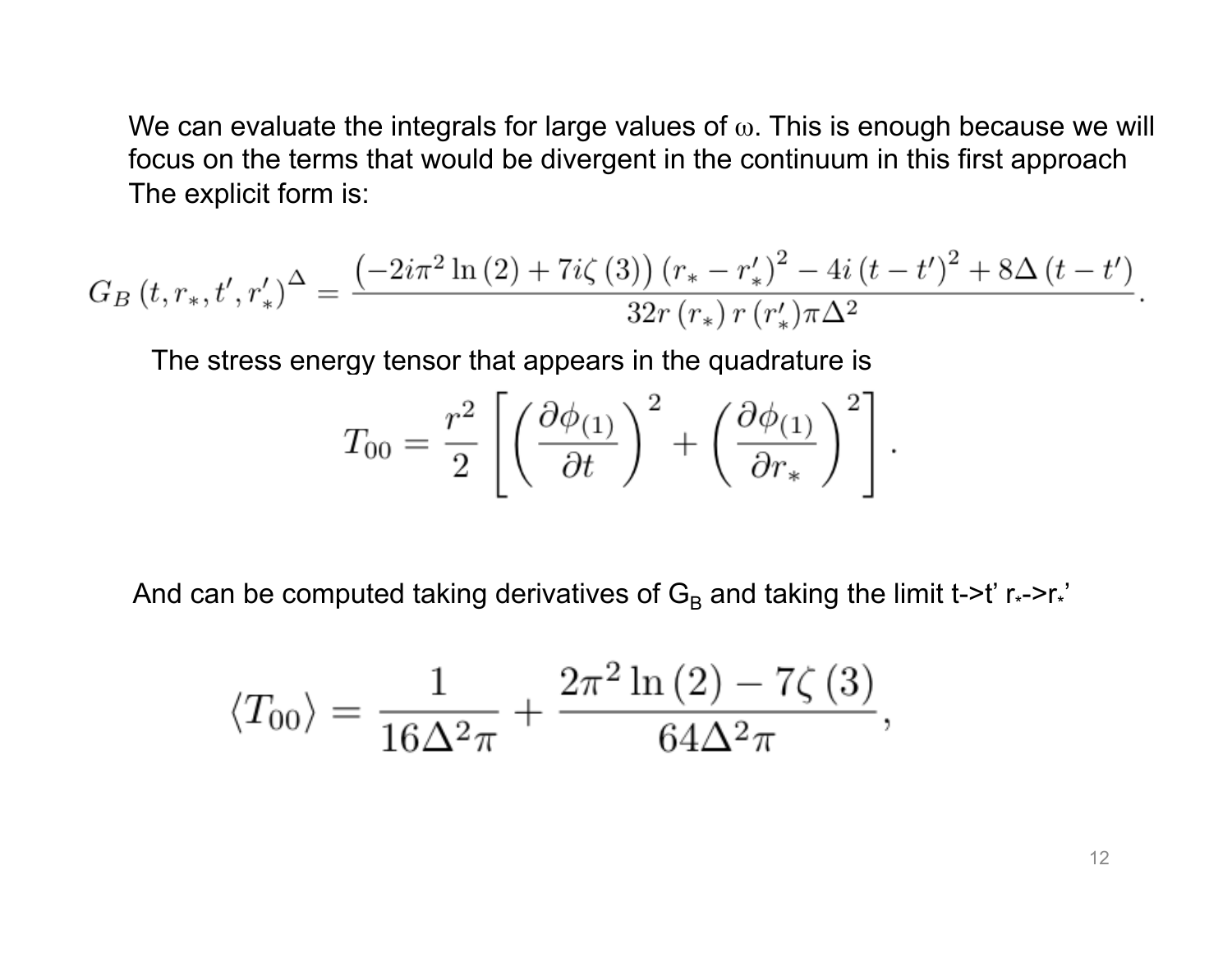We can evaluate the integrals for large values of  $\omega$ . This is enough because we will focus on the terms that would be divergent in the continuum in this first approach The explicit form is:

$$
G_B(t, r_*, t', r'_*)^{\Delta} = \frac{\left(-2i\pi^2 \ln(2) + 7i\zeta(3)\right) (r_* - r'_*)^2 - 4i (t - t')^2 + 8\Delta (t - t')}{32r (r_*) r (r'_*) \pi \Delta^2}
$$

The stress energy tensor that appears in the quadrature is

$$
T_{00} = \frac{r^2}{2} \left[ \left( \frac{\partial \phi_{(1)}}{\partial t} \right)^2 + \left( \frac{\partial \phi_{(1)}}{\partial r_*} \right)^2 \right].
$$

And can be computed taking derivatives of  $G_B$  and taking the limit t->t' r<sub>\*</sub>->r<sub>\*</sub>'

$$
\langle T_{00} \rangle = \frac{1}{16\Delta^2 \pi} + \frac{2\pi^2 \ln(2) - 7\zeta(3)}{64\Delta^2 \pi},
$$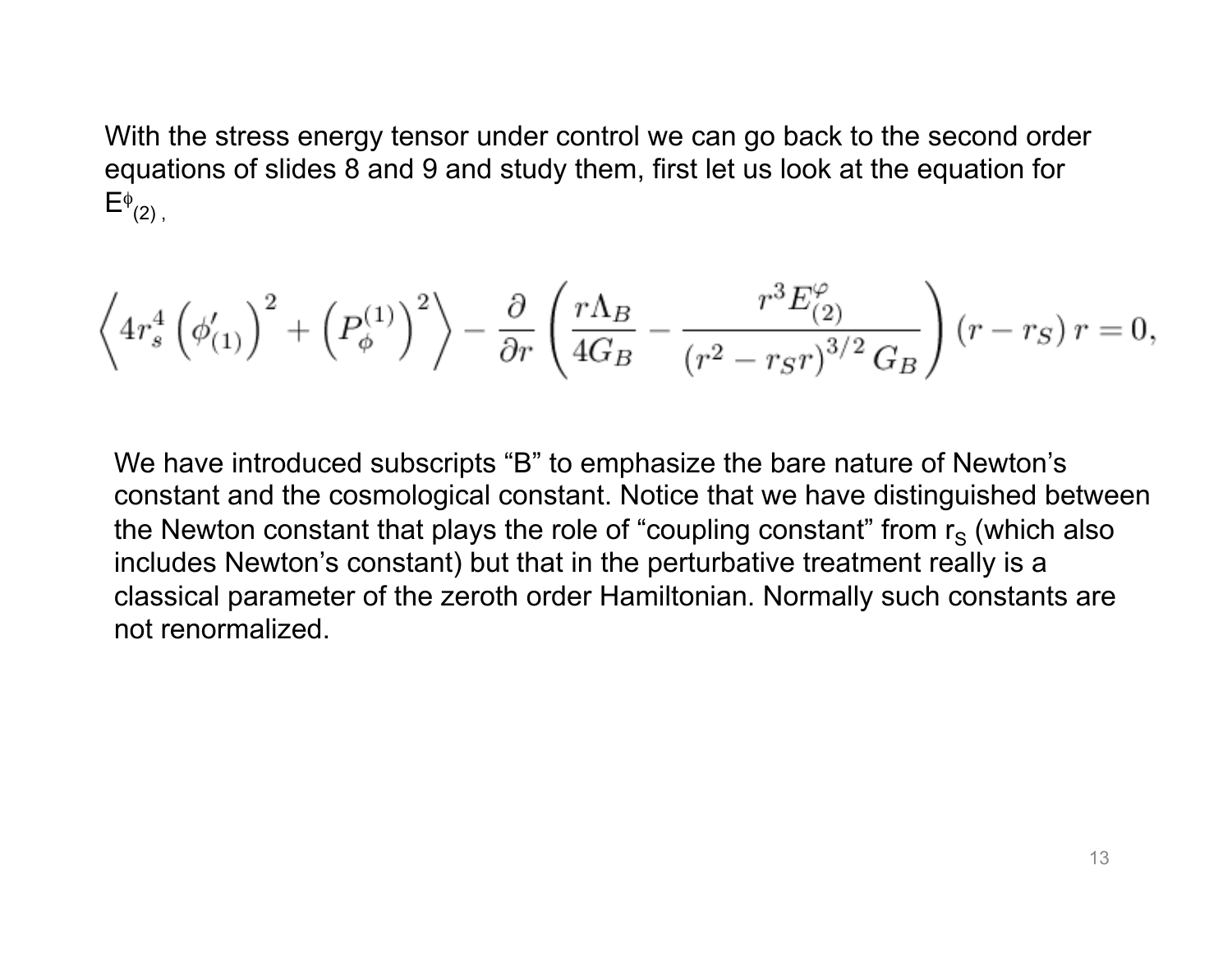With the stress energy tensor under control we can go back to the second order equations of slides 8 and 9 and study them, first let us look at the equation for  $E^{\phi}{}_{(2)}$ ,

$$
\left\langle 4r_s^4\left(\phi_{(1)}'\right)^2+\left(P_\phi^{(1)}\right)^2\right\rangle-\frac{\partial}{\partial r}\left(\frac{r\Lambda_B}{4G_B}-\frac{r^3E^\varphi_{(2)}}{\left(r^2-r_Sr\right)^{3/2}G_B}\right)\left(r-r_S\right)r=0,
$$

We have introduced subscripts "B" to emphasize the bare nature of Newton's constant and the cosmological constant. Notice that we have distinguished between the Newton constant that plays the role of "coupling constant" from  $r<sub>s</sub>$  (which also includes Newton's constant) but that in the perturbative treatment really is a classical parameter of the zeroth order Hamiltonian. Normally such constants are not renormalized.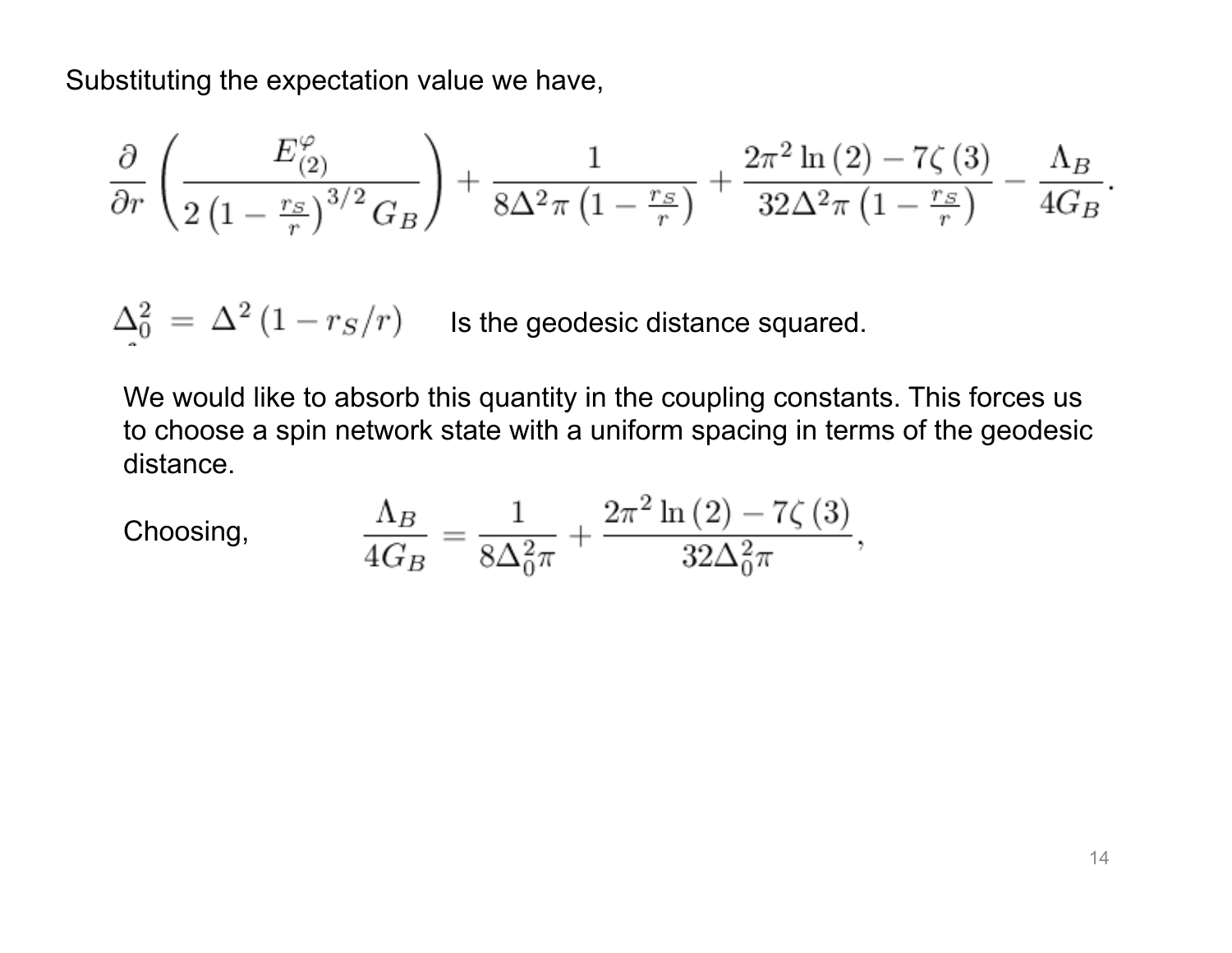Substituting the expectation value we have,

$$
\frac{\partial}{\partial r}\left(\frac{E_{(2)}^{\varphi}}{2\left(1-\frac{r_S}{r}\right)^{3/2}G_B}\right)+\frac{1}{8\Delta^2\pi\left(1-\frac{r_S}{r}\right)}+\frac{2\pi^2\ln\left(2\right)-7\zeta\left(3\right)}{32\Delta^2\pi\left(1-\frac{r_S}{r}\right)}-\frac{\Lambda_B}{4G_B}
$$

 $\Delta_0^2 = \Delta^2 (1 - r_S/r)$  Is the geodesic distance squared.

We would like to absorb this quantity in the coupling constants. This forces us to choose a spin network state with a uniform spacing in terms of the geodesic distance.

Choosing, 
$$
\frac{\Lambda_B}{4G_B} = \frac{1}{8\Delta_0^2 \pi} + \frac{2\pi^2 \ln(2) - 7\zeta(3)}{32\Delta_0^2 \pi},
$$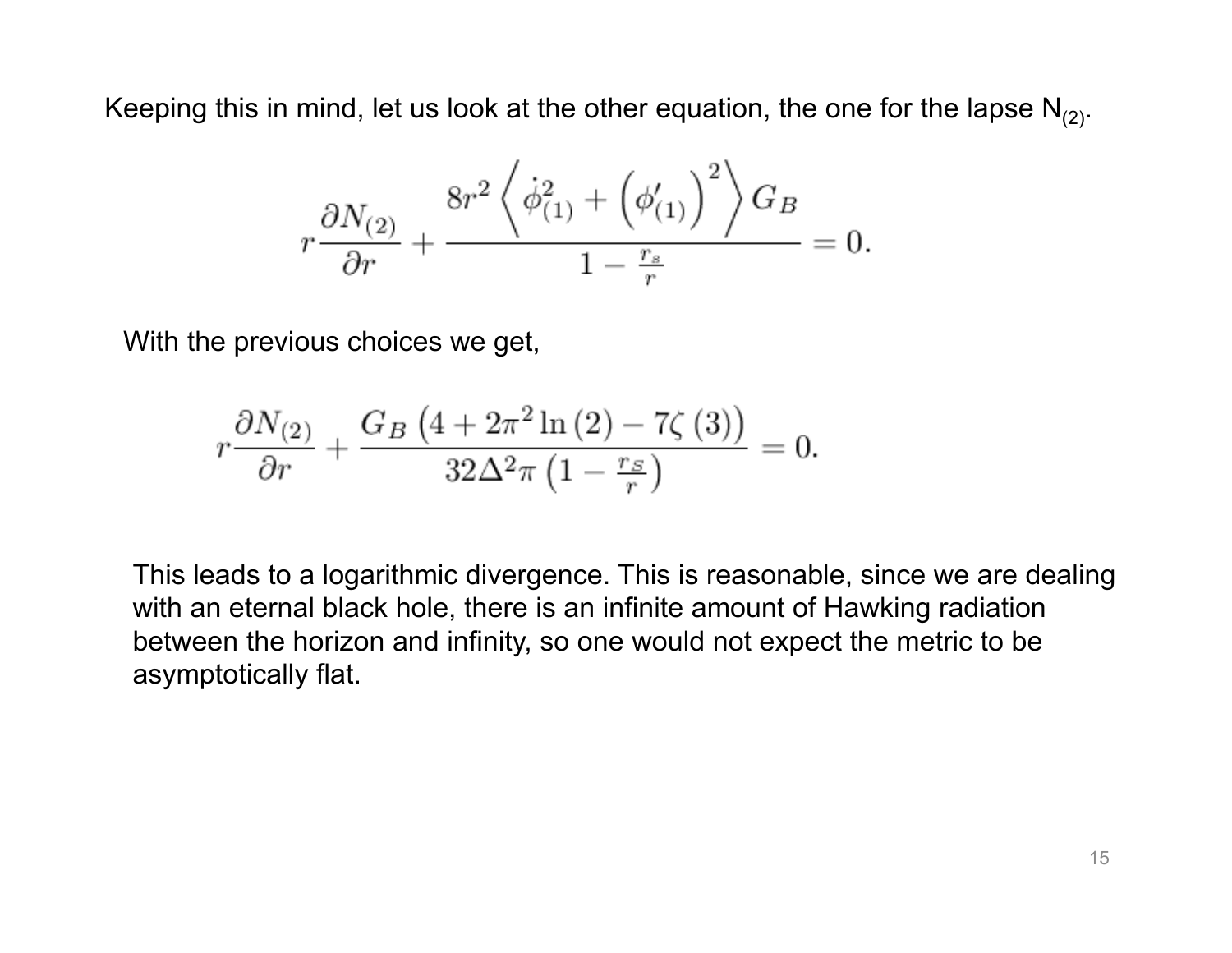Keeping this in mind, let us look at the other equation, the one for the lapse  $N_{(2)}$ .

$$
r\frac{\partial N_{(2)}}{\partial r}+\frac{8r^2\left<\dot{\phi}^2_{(1)}+\left(\phi_{(1)}'\right)^2\right>G_B}{1-\frac{r_s}{r}}=0.
$$

With the previous choices we get,

$$
r\frac{\partial N_{(2)}}{\partial r} + \frac{G_B\left(4 + 2\pi^2 \ln\left(2\right) - 7\zeta\left(3\right)\right)}{32\Delta^2 \pi \left(1 - \frac{r_S}{r}\right)} = 0.
$$

This leads to a logarithmic divergence. This is reasonable, since we are dealing with an eternal black hole, there is an infinite amount of Hawking radiation between the horizon and infinity, so one would not expect the metric to be asymptotically flat.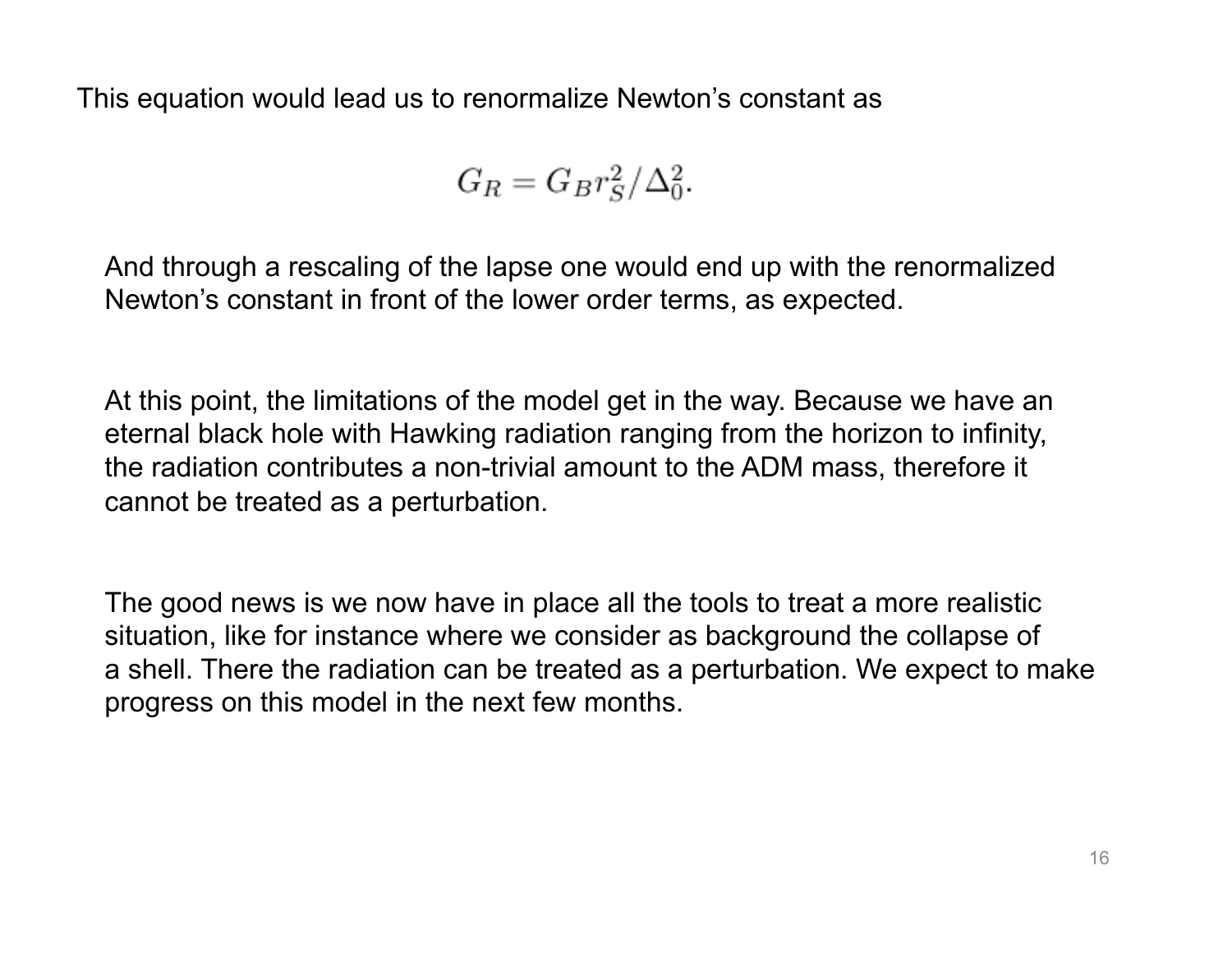This equation would lead us to renormalize Newton's constant as

$$
G_R = G_B r_S^2 / \Delta_0^2.
$$

And through a rescaling of the lapse one would end up with the renormalized Newton's constant in front of the lower order terms, as expected.

At this point, the limitations of the model get in the way. Because we have an eternal black hole with Hawking radiation ranging from the horizon to infinity, the radiation contributes a non-trivial amount to the ADM mass, therefore it cannot be treated as a perturbation.

The good news is we now have in place all the tools to treat a more realistic situation, like for instance where we consider as background the collapse of a shell. There the radiation can be treated as a perturbation. We expect to make progress on this model in the next few months.